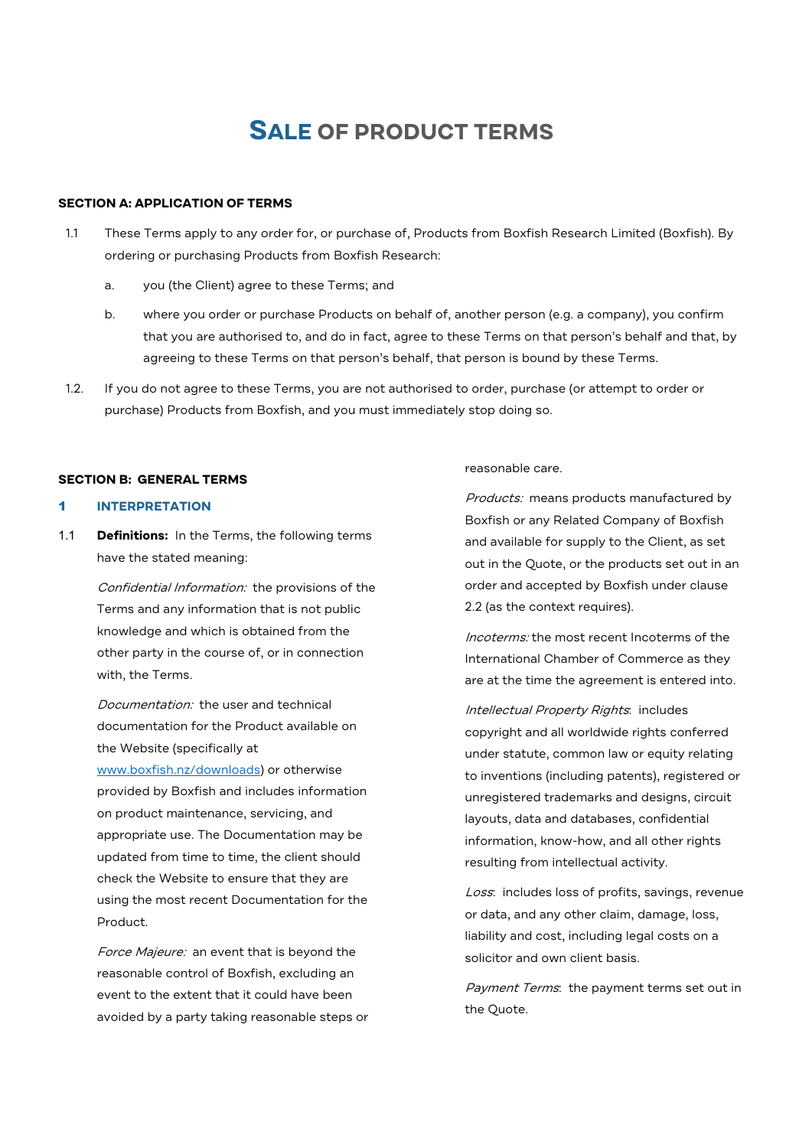# **SALE OF PRODUCT TERMS**

## **SECTION A: APPLICATION OF TERMS**

- 1.1 These Terms apply to any order for, or purchase of, Products from Boxfish Research Limited (Boxfish). By ordering or purchasing Products from Boxfish Research:
	- a. you (the Client) agree to these Terms; and
	- b. where you order or purchase Products on behalf of, another person (e.g. a company), you confirm that you are authorised to, and do in fact, agree to these Terms on that person's behalf and that, by agreeing to these Terms on that person's behalf, that person is bound by these Terms.
- 1.2. If you do not agree to these Terms, you are not authorised to order, purchase (or attempt to order or purchase) Products from Boxfish, and you must immediately stop doing so.

#### **SECTION B: GENERAL TERMS**

### 1 **INTERPRETATION**

1.1 **Definitions:** In the Terms, the following terms have the stated meaning:

> Confidential Information: the provisions of the Terms and any information that is not public knowledge and which is obtained from the other party in the course of, or in connection with, the Terms.

Documentation: the user and technical documentation for the Product available on the Website (specifically at www.boxfish.nz/downloads) or otherwise provided by Boxfish and includes information on product maintenance, servicing, and appropriate use. The Documentation may be updated from time to time, the client should check the Website to ensure that they are using the most recent Documentation for the Product.

Force Majeure: an event that is beyond the reasonable control of Boxfish, excluding an event to the extent that it could have been avoided by a party taking reasonable steps or reasonable care.

Products: means products manufactured by Boxfish or any Related Company of Boxfish and available for supply to the Client, as set out in the Quote, or the products set out in an order and accepted by Boxfish under clause 2.2 (as the context requires).

Incoterms: the most recent Incoterms of the International Chamber of Commerce as they are at the time the agreement is entered into.

Intellectual Property Rights: includes copyright and all worldwide rights conferred under statute, common law or equity relating to inventions (including patents), registered or unregistered trademarks and designs, circuit layouts, data and databases, confidential information, know-how, and all other rights resulting from intellectual activity.

Loss: includes loss of profits, savings, revenue or data, and any other claim, damage, loss, liability and cost, including legal costs on a solicitor and own client basis.

Payment Terms: the payment terms set out in the Quote.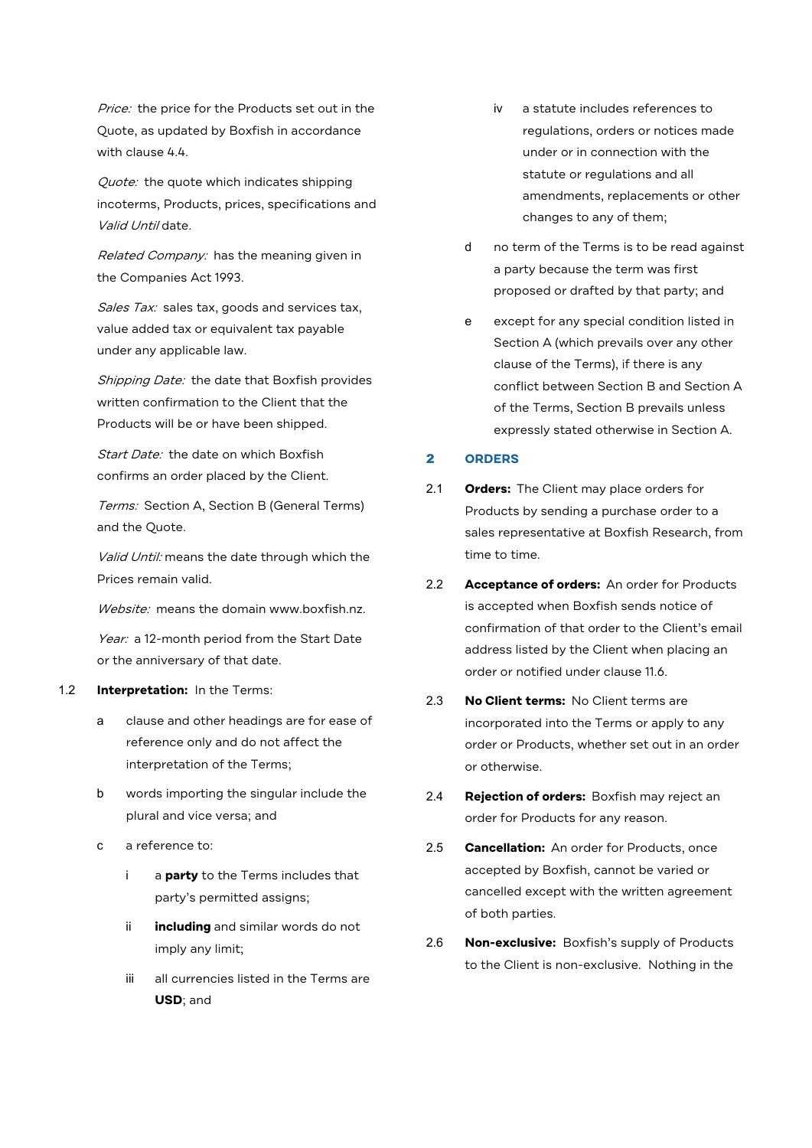Price: the price for the Products set out in the Quote, as updated by Boxfish in accordance with clause 4.4.

Quote: the quote which indicates shipping incoterms, Products, prices, specifications and Valid Until date.

Related Company: has the meaning given in the Companies Act 1993.

Sales Tax: sales tax, goods and services tax, value added tax or equivalent tax payable under any applicable law.

Shipping Date: the date that Boxfish provides written confirmation to the Client that the Products will be or have been shipped.

Start Date: the date on which Boxfish confirms an order placed by the Client.

Terms: Section A, Section B (General Terms) and the Quote.

Valid Until: means the date through which the Prices remain valid.

Website: means the domain www.boxfish.nz.

Year: a 12-month period from the Start Date or the anniversary of that date.

#### 1.2 **Interpretation:** In the Terms:

- a clause and other headings are for ease of reference only and do not affect the interpretation of the Terms;
- b words importing the singular include the plural and vice versa; and
- c a reference to:
	- i a **party** to the Terms includes that party's permitted assigns;
	- ii **including** and similar words do not imply any limit;
	- iii all currencies listed in the Terms are **USD**; and
- iv a statute includes references to regulations, orders or notices made under or in connection with the statute or regulations and all amendments, replacements or other changes to any of them;
- d no term of the Terms is to be read against a party because the term was first proposed or drafted by that party; and
- e except for any special condition listed in Section A (which prevails over any other clause of the Terms), if there is any conflict between Section B and Section A of the Terms, Section B prevails unless expressly stated otherwise in Section A.

# 2 **ORDERS**

- 2.1 **Orders:** The Client may place orders for Products by sending a purchase order to a sales representative at Boxfish Research, from time to time.
- 2.2 **Acceptance of orders:** An order for Products is accepted when Boxfish sends notice of confirmation of that order to the Client's email address listed by the Client when placing an order or notified under clause 11.6.
- 2.3 **No Client terms:** No Client terms are incorporated into the Terms or apply to any order or Products, whether set out in an order or otherwise.
- 2.4 **Rejection of orders:** Boxfish may reject an order for Products for any reason.
- 2.5 **Cancellation:** An order for Products, once accepted by Boxfish, cannot be varied or cancelled except with the written agreement of both parties.
- 2.6 **Non-exclusive:** Boxfish's supply of Products to the Client is non-exclusive. Nothing in the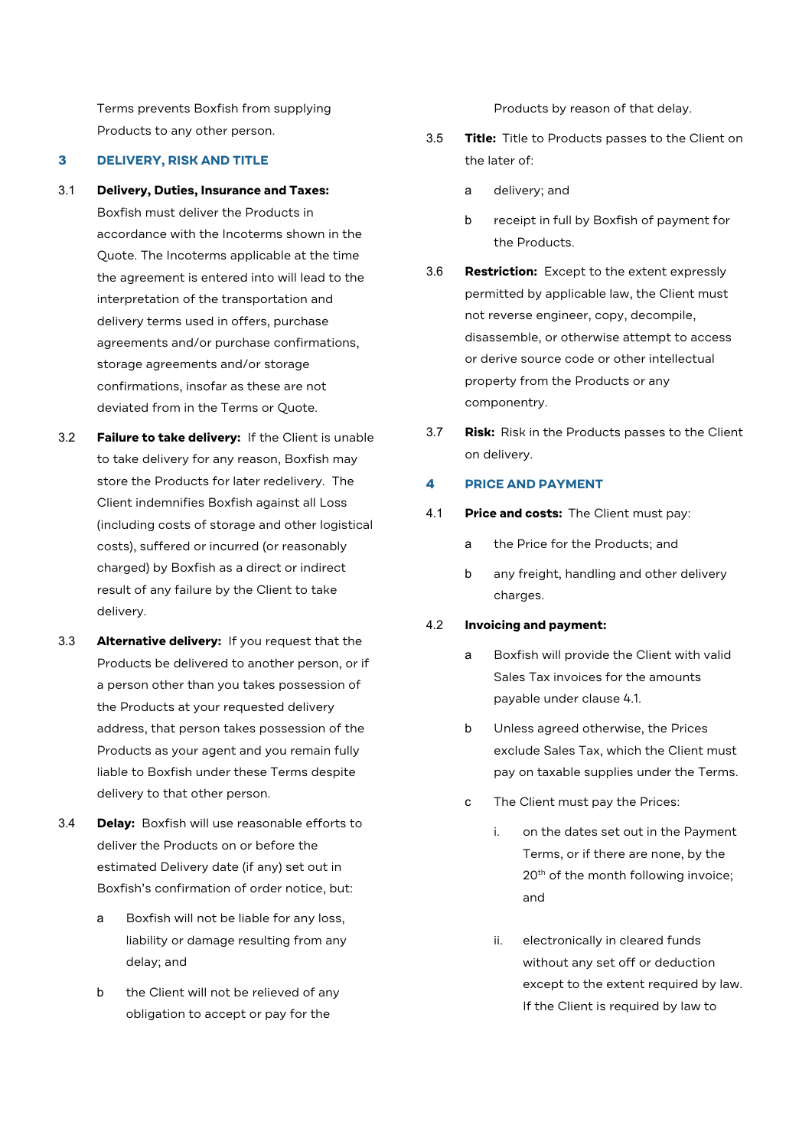Terms prevents Boxfish from supplying Products to any other person.

#### 3 **DELIVERY, RISK AND TITLE**

3.1 **Delivery, Duties, Insurance and Taxes:** 

Boxfish must deliver the Products in accordance with the Incoterms shown in the Quote. The Incoterms applicable at the time the agreement is entered into will lead to the interpretation of the transportation and delivery terms used in offers, purchase agreements and/or purchase confirmations, storage agreements and/or storage confirmations, insofar as these are not deviated from in the Terms or Quote.

- 3.2 **Failure to take delivery:** If the Client is unable to take delivery for any reason, Boxfish may store the Products for later redelivery. The Client indemnifies Boxfish against all Loss (including costs of storage and other logistical costs), suffered or incurred (or reasonably charged) by Boxfish as a direct or indirect result of any failure by the Client to take delivery.
- 3.3 **Alternative delivery:** If you request that the Products be delivered to another person, or if a person other than you takes possession of the Products at your requested delivery address, that person takes possession of the Products as your agent and you remain fully liable to Boxfish under these Terms despite delivery to that other person.
- 3.4 **Delay:** Boxfish will use reasonable efforts to deliver the Products on or before the estimated Delivery date (if any) set out in Boxfish's confirmation of order notice, but:
	- a Boxfish will not be liable for any loss, liability or damage resulting from any delay; and
	- b the Client will not be relieved of any obligation to accept or pay for the

Products by reason of that delay.

- 3.5 **Title:** Title to Products passes to the Client on the later of:
	- a delivery; and
	- b receipt in full by Boxfish of payment for the Products.
- 3.6 **Restriction:** Except to the extent expressly permitted by applicable law, the Client must not reverse engineer, copy, decompile, disassemble, or otherwise attempt to access or derive source code or other intellectual property from the Products or any componentry.
- 3.7 **Risk:** Risk in the Products passes to the Client on delivery.

## 4 **PRICE AND PAYMENT**

- 4.1 **Price and costs:** The Client must pay:
	- a the Price for the Products; and
	- b any freight, handling and other delivery charges.

#### 4.2 **Invoicing and payment:**

- a Boxfish will provide the Client with valid Sales Tax invoices for the amounts payable under clause 4.1.
- b Unless agreed otherwise, the Prices exclude Sales Tax, which the Client must pay on taxable supplies under the Terms.
- c The Client must pay the Prices:
	- i. on the dates set out in the Payment Terms, or if there are none, by the 20<sup>th</sup> of the month following invoice; and
	- ii. electronically in cleared funds without any set off or deduction except to the extent required by law. If the Client is required by law to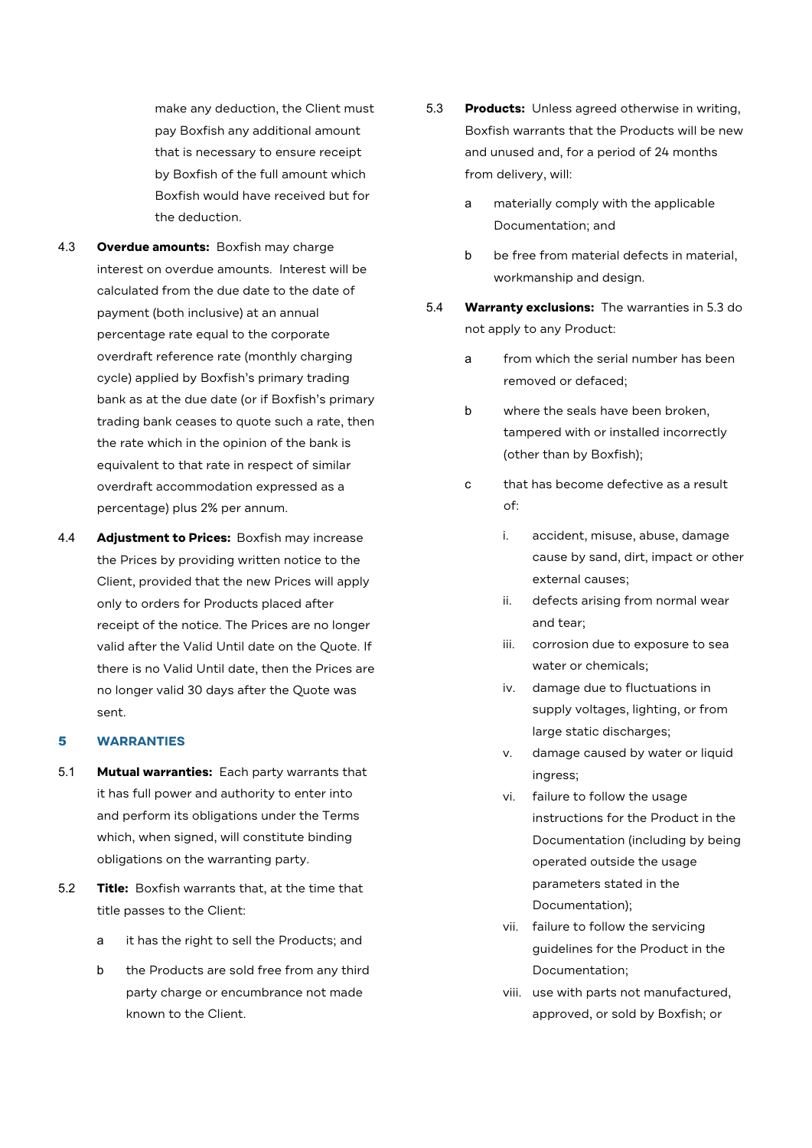make any deduction, the Client must pay Boxfish any additional amount that is necessary to ensure receipt by Boxfish of the full amount which Boxfish would have received but for the deduction.

- 4.3 **Overdue amounts:** Boxfish may charge interest on overdue amounts. Interest will be calculated from the due date to the date of payment (both inclusive) at an annual percentage rate equal to the corporate overdraft reference rate (monthly charging cycle) applied by Boxfish's primary trading bank as at the due date (or if Boxfish's primary trading bank ceases to quote such a rate, then the rate which in the opinion of the bank is equivalent to that rate in respect of similar overdraft accommodation expressed as a percentage) plus 2% per annum.
- 4.4 **Adjustment to Prices:** Boxfish may increase the Prices by providing written notice to the Client, provided that the new Prices will apply only to orders for Products placed after receipt of the notice. The Prices are no longer valid after the Valid Until date on the Quote. If there is no Valid Until date, then the Prices are no longer valid 30 days after the Quote was sent.

#### 5 **WARRANTIES**

- 5.1 **Mutual warranties:** Each party warrants that it has full power and authority to enter into and perform its obligations under the Terms which, when signed, will constitute binding obligations on the warranting party.
- 5.2 **Title:** Boxfish warrants that, at the time that title passes to the Client:
	- a it has the right to sell the Products; and
	- b the Products are sold free from any third party charge or encumbrance not made known to the Client.
- 5.3 **Products:** Unless agreed otherwise in writing, Boxfish warrants that the Products will be new and unused and, for a period of 24 months from delivery, will:
	- a materially comply with the applicable Documentation; and
	- b be free from material defects in material, workmanship and design.
- 5.4 **Warranty exclusions:** The warranties in 5.3 do not apply to any Product:
	- a from which the serial number has been removed or defaced;
	- b where the seals have been broken, tampered with or installed incorrectly (other than by Boxfish);
	- c that has become defective as a result  $\bigcap_{\tau \in \mathcal{T}}$ 
		- i. accident, misuse, abuse, damage cause by sand, dirt, impact or other external causes;
		- ii. defects arising from normal wear and tear;
		- iii. corrosion due to exposure to sea water or chemicals;
		- iv. damage due to fluctuations in supply voltages, lighting, or from large static discharges;
		- v. damage caused by water or liquid ingress;
		- vi. failure to follow the usage instructions for the Product in the Documentation (including by being operated outside the usage parameters stated in the Documentation);
		- vii. failure to follow the servicing guidelines for the Product in the Documentation;
		- viii. use with parts not manufactured, approved, or sold by Boxfish; or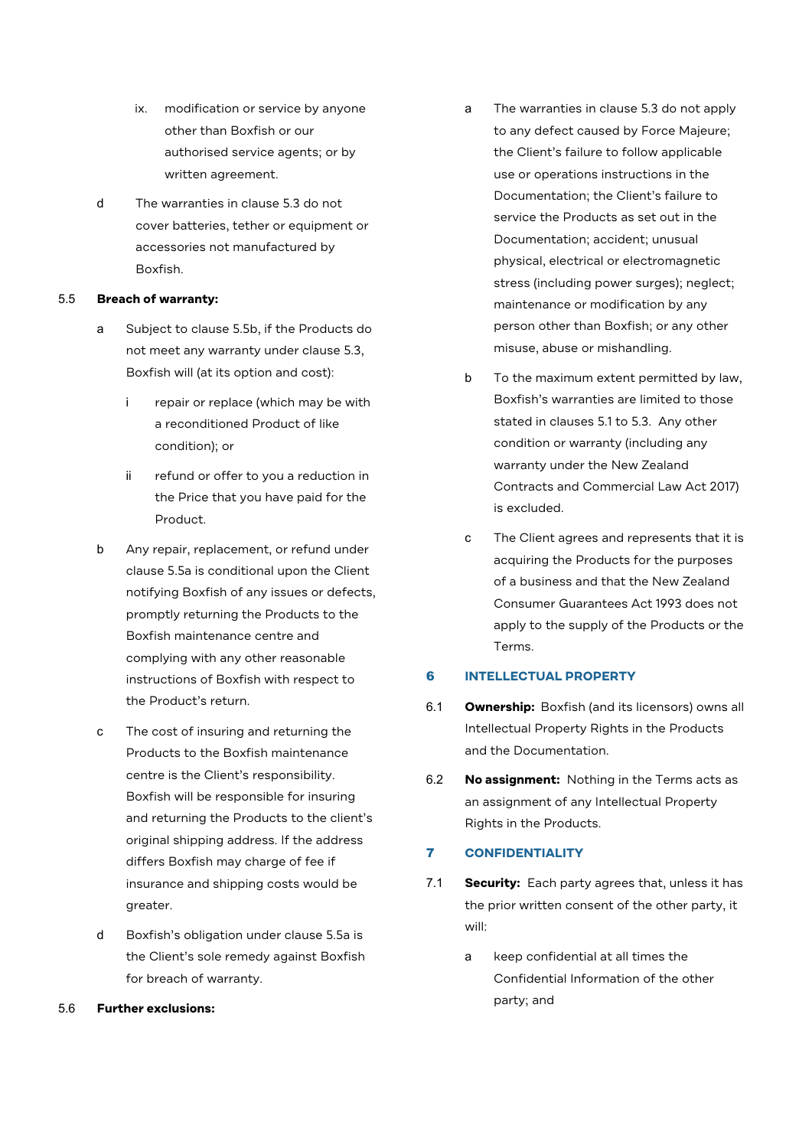- ix. modification or service by anyone other than Boxfish or our authorised service agents; or by written agreement.
- d The warranties in clause 5.3 do not cover batteries, tether or equipment or accessories not manufactured by Boxfish.

## 5.5 **Breach of warranty:**

- a Subject to clause 5.5b, if the Products do not meet any warranty under clause 5.3, Boxfish will (at its option and cost):
	- i repair or replace (which may be with a reconditioned Product of like condition); or
	- ii refund or offer to you a reduction in the Price that you have paid for the Product.
- b Any repair, replacement, or refund under clause 5.5a is conditional upon the Client notifying Boxfish of any issues or defects, promptly returning the Products to the Boxfish maintenance centre and complying with any other reasonable instructions of Boxfish with respect to the Product's return.
- c The cost of insuring and returning the Products to the Boxfish maintenance centre is the Client's responsibility. Boxfish will be responsible for insuring and returning the Products to the client's original shipping address. If the address differs Boxfish may charge of fee if insurance and shipping costs would be greater.
- d Boxfish's obligation under clause 5.5a is the Client's sole remedy against Boxfish for breach of warranty.
- 5.6 **Further exclusions:**
- a The warranties in clause 5.3 do not apply to any defect caused by Force Majeure; the Client's failure to follow applicable use or operations instructions in the Documentation; the Client's failure to service the Products as set out in the Documentation; accident; unusual physical, electrical or electromagnetic stress (including power surges); neglect; maintenance or modification by any person other than Boxfish; or any other misuse, abuse or mishandling.
- b To the maximum extent permitted by law, Boxfish's warranties are limited to those stated in clauses 5.1 to 5.3. Any other condition or warranty (including any warranty under the New Zealand Contracts and Commercial Law Act 2017) is excluded.
- c The Client agrees and represents that it is acquiring the Products for the purposes of a business and that the New Zealand Consumer Guarantees Act 1993 does not apply to the supply of the Products or the Terms.

# 6 **INTELLECTUAL PROPERTY**

- 6.1 **Ownership:** Boxfish (and its licensors) owns all Intellectual Property Rights in the Products and the Documentation.
- 6.2 **No assignment:** Nothing in the Terms acts as an assignment of any Intellectual Property Rights in the Products.

# 7 **CONFIDENTIALITY**

- 7.1 **Security:** Each party agrees that, unless it has the prior written consent of the other party, it will:
	- a keep confidential at all times the Confidential Information of the other party; and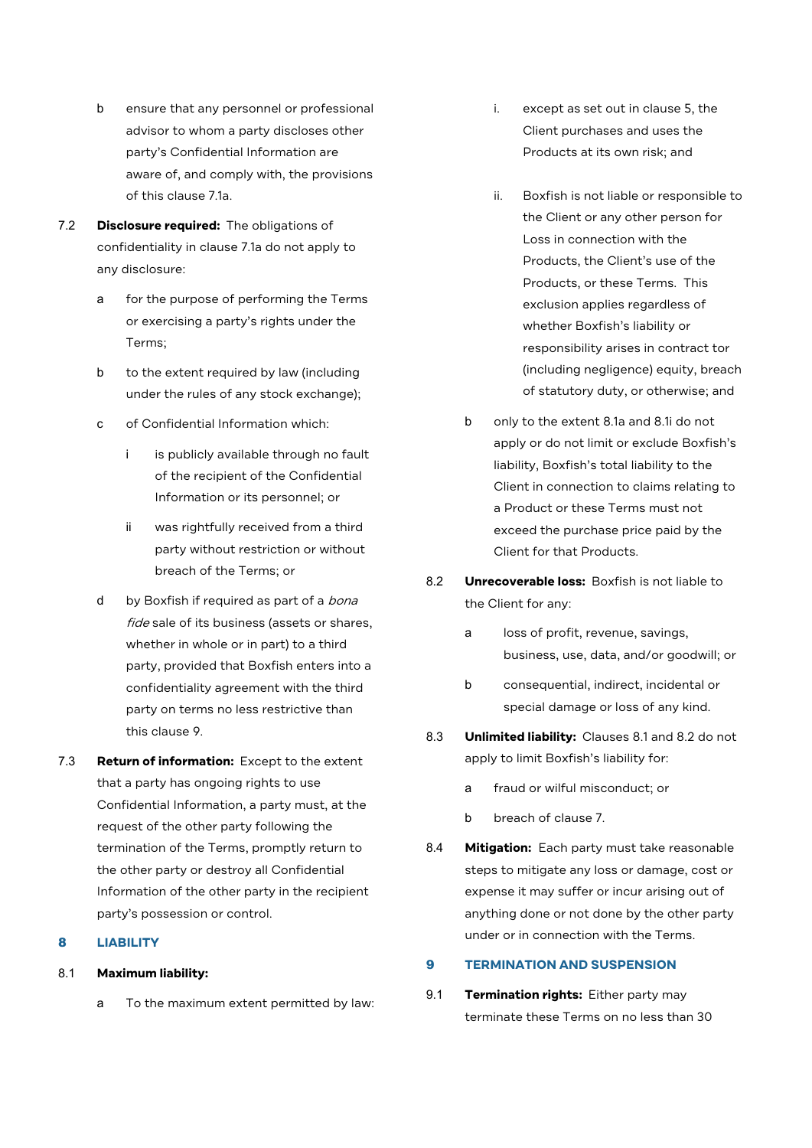- b ensure that any personnel or professional advisor to whom a party discloses other party's Confidential Information are aware of, and comply with, the provisions of this clause 7.1a.
- 7.2 **Disclosure required:** The obligations of confidentiality in clause 7.1a do not apply to any disclosure:
	- a for the purpose of performing the Terms or exercising a party's rights under the Terms;
	- b to the extent required by law (including under the rules of any stock exchange);
	- c of Confidential Information which:
		- i is publicly available through no fault of the recipient of the Confidential Information or its personnel; or
		- ii was rightfully received from a third party without restriction or without breach of the Terms; or
	- d by Boxfish if required as part of a bona fide sale of its business (assets or shares, whether in whole or in part) to a third party, provided that Boxfish enters into a confidentiality agreement with the third party on terms no less restrictive than this clause 9.
- 7.3 **Return of information:** Except to the extent that a party has ongoing rights to use Confidential Information, a party must, at the request of the other party following the termination of the Terms, promptly return to the other party or destroy all Confidential Information of the other party in the recipient party's possession or control.

# 8 **LIABILITY**

# 8.1 **Maximum liability:**

a To the maximum extent permitted by law:

- i. except as set out in clause 5, the Client purchases and uses the Products at its own risk; and
- ii. Boxfish is not liable or responsible to the Client or any other person for Loss in connection with the Products, the Client's use of the Products, or these Terms. This exclusion applies regardless of whether Boxfish's liability or responsibility arises in contract tor (including negligence) equity, breach of statutory duty, or otherwise; and
- b only to the extent 8.1a and 8.1i do not apply or do not limit or exclude Boxfish's liability, Boxfish's total liability to the Client in connection to claims relating to a Product or these Terms must not exceed the purchase price paid by the Client for that Products.
- 8.2 **Unrecoverable loss:** Boxfish is not liable to the Client for any:
	- a loss of profit, revenue, savings, business, use, data, and/or goodwill; or
	- b consequential, indirect, incidental or special damage or loss of any kind.
- 8.3 **Unlimited liability:** Clauses 8.1 and 8.2 do not apply to limit Boxfish's liability for:
	- a fraud or wilful misconduct; or
	- b breach of clause 7.
- 8.4 **Mitigation:** Each party must take reasonable steps to mitigate any loss or damage, cost or expense it may suffer or incur arising out of anything done or not done by the other party under or in connection with the Terms.

# 9 **TERMINATION AND SUSPENSION**

9.1 **Termination rights:** Either party may terminate these Terms on no less than 30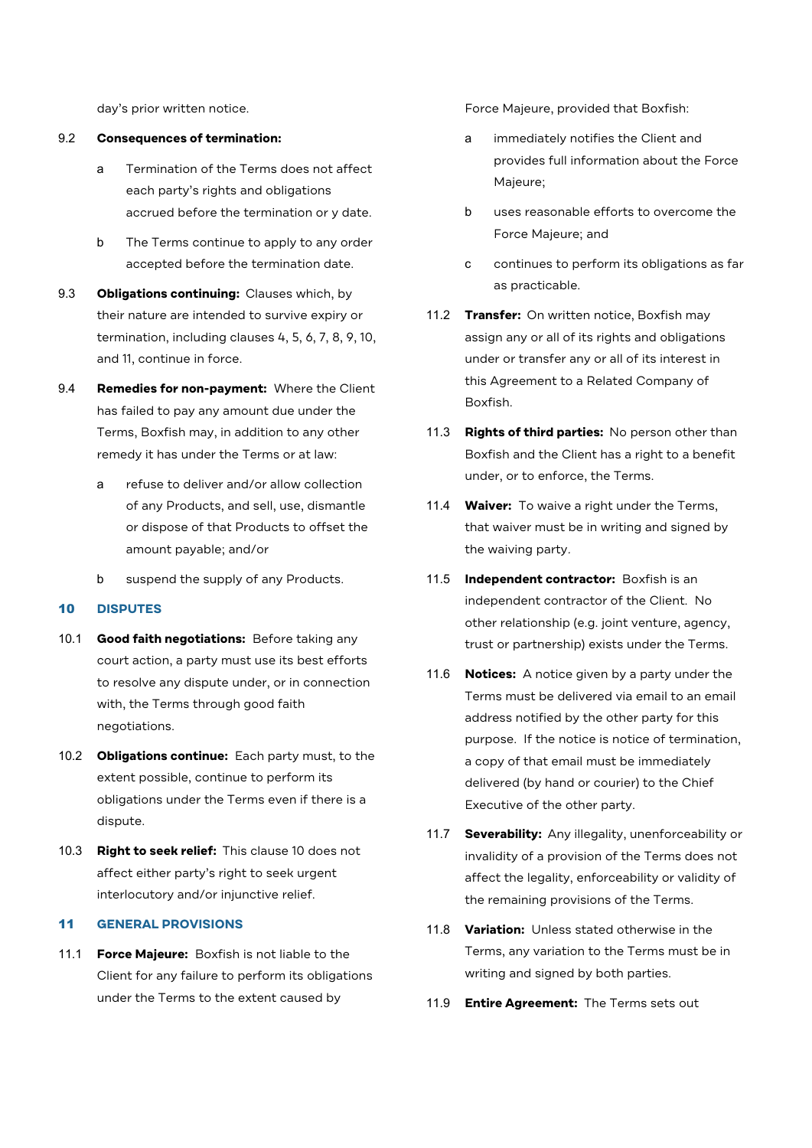day's prior written notice.

#### 9.2 **Consequences of termination:**

- a Termination of the Terms does not affect each party's rights and obligations accrued before the termination or y date.
- b The Terms continue to apply to any order accepted before the termination date.
- 9.3 **Obligations continuing:** Clauses which, by their nature are intended to survive expiry or termination, including clauses 4, 5, 6, 7, 8, 9, 10, and 11, continue in force.
- 9.4 **Remedies for non-payment:** Where the Client has failed to pay any amount due under the Terms, Boxfish may, in addition to any other remedy it has under the Terms or at law:
	- a refuse to deliver and/or allow collection of any Products, and sell, use, dismantle or dispose of that Products to offset the amount payable; and/or
	- b suspend the supply of any Products.

### 10 **DISPUTES**

- 10.1 **Good faith negotiations:** Before taking any court action, a party must use its best efforts to resolve any dispute under, or in connection with, the Terms through good faith negotiations.
- 10.2 **Obligations continue:** Each party must, to the extent possible, continue to perform its obligations under the Terms even if there is a dispute.
- 10.3 **Right to seek relief:** This clause 10 does not affect either party's right to seek urgent interlocutory and/or injunctive relief.

# 11 **GENERAL PROVISIONS**

11.1 **Force Majeure:** Boxfish is not liable to the Client for any failure to perform its obligations under the Terms to the extent caused by

Force Majeure, provided that Boxfish:

- a immediately notifies the Client and provides full information about the Force Majeure;
- b uses reasonable efforts to overcome the Force Majeure; and
- c continues to perform its obligations as far as practicable.
- 11.2 **Transfer:** On written notice, Boxfish may assign any or all of its rights and obligations under or transfer any or all of its interest in this Agreement to a Related Company of Boxfish.
- 11.3 **Rights of third parties:** No person other than Boxfish and the Client has a right to a benefit under, or to enforce, the Terms.
- 11.4 **Waiver:** To waive a right under the Terms, that waiver must be in writing and signed by the waiving party.
- 11.5 **Independent contractor:** Boxfish is an independent contractor of the Client. No other relationship (e.g. joint venture, agency, trust or partnership) exists under the Terms.
- 11.6 **Notices:** A notice given by a party under the Terms must be delivered via email to an email address notified by the other party for this purpose. If the notice is notice of termination, a copy of that email must be immediately delivered (by hand or courier) to the Chief Executive of the other party.
- 11.7 **Severability:** Any illegality, unenforceability or invalidity of a provision of the Terms does not affect the legality, enforceability or validity of the remaining provisions of the Terms.
- 11.8 **Variation:** Unless stated otherwise in the Terms, any variation to the Terms must be in writing and signed by both parties.
- 11.9 **Entire Agreement:** The Terms sets out